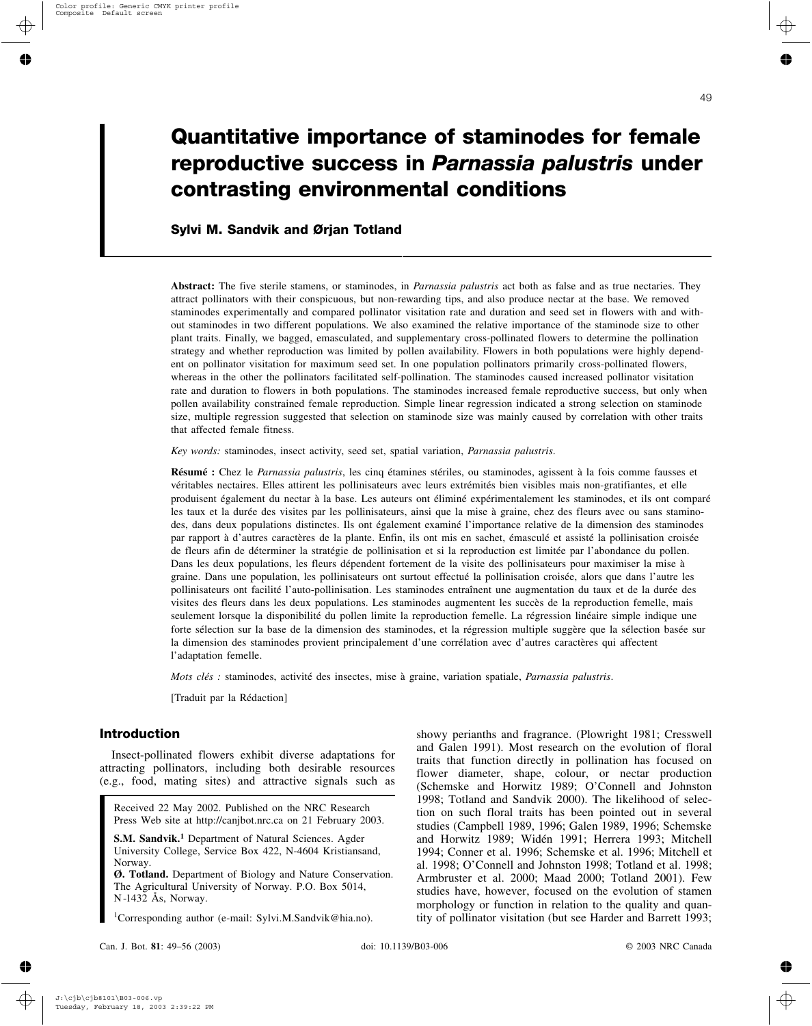# **Quantitative importance of staminodes for female reproductive success in** *Parnassia palustris* **under contrasting environmental conditions**

# **Sylvi M. Sandvik and Ørjan Totland**

**Abstract:** The five sterile stamens, or staminodes, in *Parnassia palustris* act both as false and as true nectaries. They attract pollinators with their conspicuous, but non-rewarding tips, and also produce nectar at the base. We removed staminodes experimentally and compared pollinator visitation rate and duration and seed set in flowers with and without staminodes in two different populations. We also examined the relative importance of the staminode size to other plant traits. Finally, we bagged, emasculated, and supplementary cross-pollinated flowers to determine the pollination strategy and whether reproduction was limited by pollen availability. Flowers in both populations were highly dependent on pollinator visitation for maximum seed set. In one population pollinators primarily cross-pollinated flowers, whereas in the other the pollinators facilitated self-pollination. The staminodes caused increased pollinator visitation rate and duration to flowers in both populations. The staminodes increased female reproductive success, but only when pollen availability constrained female reproduction. Simple linear regression indicated a strong selection on staminode size, multiple regression suggested that selection on staminode size was mainly caused by correlation with other traits that affected female fitness.

*Key words:* staminodes, insect activity, seed set, spatial variation, *Parnassia palustris*.

**Résumé :** Chez le *Parnassia palustris*, les cinq étamines stériles, ou staminodes, agissent à la fois comme fausses et véritables nectaires. Elles attirent les pollinisateurs avec leurs extrémités bien visibles mais non-gratifiantes, et elle produisent également du nectar à la base. Les auteurs ont éliminé expérimentalement les staminodes, et ils ont comparé les taux et la durée des visites par les pollinisateurs, ainsi que la mise à graine, chez des fleurs avec ou sans staminodes, dans deux populations distinctes. Ils ont également examiné l'importance relative de la dimension des staminodes par rapport à d'autres caractères de la plante. Enfin, ils ont mis en sachet, émasculé et assisté la pollinisation croisée de fleurs afin de déterminer la stratégie de pollinisation et si la reproduction est limitée par l'abondance du pollen. Dans les deux populations, les fleurs dépendent fortement de la visite des pollinisateurs pour maximiser la mise à graine. Dans une population, les pollinisateurs ont surtout effectué la pollinisation croisée, alors que dans l'autre les pollinisateurs ont facilité l'auto-pollinisation. Les staminodes entraînent une augmentation du taux et de la durée des visites des fleurs dans les deux populations. Les staminodes augmentent les succès de la reproduction femelle, mais seulement lorsque la disponibilité du pollen limite la reproduction femelle. La régression linéaire simple indique une forte sélection sur la base de la dimension des staminodes, et la régression multiple suggère que la sélection basée sur la dimension des staminodes provient principalement d'une corrélation avec d'autres caractères qui affectent l'adaptation femelle.

*Mots clés :* staminodes, activité des insectes, mise à graine, variation spatiale, *Parnassia palustris*.

[Traduit par la Rédaction]

# **Introduction**

Insect-pollinated flowers exhibit diverse adaptations for attracting pollinators, including both desirable resources (e.g., food, mating sites) and attractive signals such as

Received 22 May 2002. Published on the NRC Research Press Web site at http://canjbot.nrc.ca on 21 February 2003.

**S.M. Sandvik.<sup>1</sup>** Department of Natural Sciences. Agder University College, Service Box 422, N-4604 Kristiansand, Norway.

**Ø. Totland.** Department of Biology and Nature Conservation. The Agricultural University of Norway. P.O. Box 5014, N -1432 Ås, Norway.

1 Corresponding author (e-mail: Sylvi.M.Sandvik@hia.no).

showy perianths and fragrance. (Plowright 1981; Cresswell and Galen 1991). Most research on the evolution of floral traits that function directly in pollination has focused on flower diameter, shape, colour, or nectar production (Schemske and Horwitz 1989; O'Connell and Johnston 1998; Totland and Sandvik 2000). The likelihood of selection on such floral traits has been pointed out in several studies (Campbell 1989, 1996; Galen 1989, 1996; Schemske and Horwitz 1989; Widén 1991; Herrera 1993; Mitchell 1994; Conner et al. 1996; Schemske et al. 1996; Mitchell et al. 1998; O'Connell and Johnston 1998; Totland et al. 1998; Armbruster et al. 2000; Maad 2000; Totland 2001). Few studies have, however, focused on the evolution of stamen morphology or function in relation to the quality and quantity of pollinator visitation (but see Harder and Barrett 1993;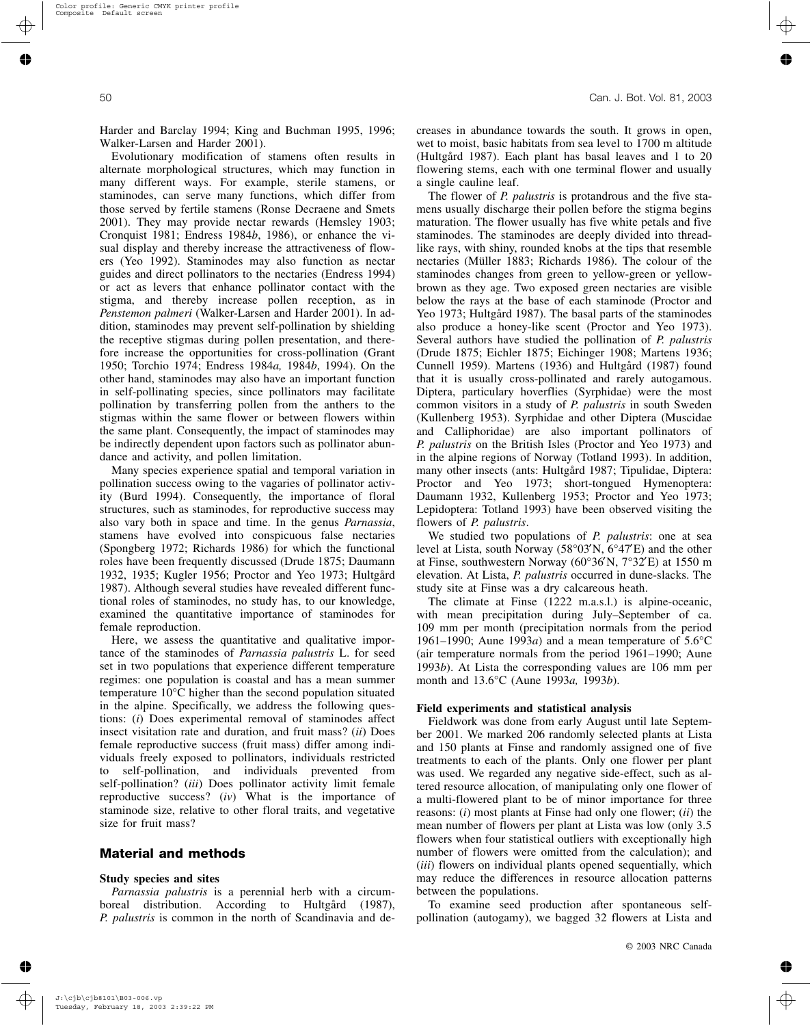Harder and Barclay 1994; King and Buchman 1995, 1996; Walker-Larsen and Harder 2001).

Evolutionary modification of stamens often results in alternate morphological structures, which may function in many different ways. For example, sterile stamens, or staminodes, can serve many functions, which differ from those served by fertile stamens (Ronse Decraene and Smets 2001). They may provide nectar rewards (Hemsley 1903; Cronquist 1981; Endress 1984*b*, 1986), or enhance the visual display and thereby increase the attractiveness of flowers (Yeo 1992). Staminodes may also function as nectar guides and direct pollinators to the nectaries (Endress 1994) or act as levers that enhance pollinator contact with the stigma, and thereby increase pollen reception, as in *Penstemon palmeri* (Walker-Larsen and Harder 2001). In addition, staminodes may prevent self-pollination by shielding the receptive stigmas during pollen presentation, and therefore increase the opportunities for cross-pollination (Grant 1950; Torchio 1974; Endress 1984*a,* 1984*b*, 1994). On the other hand, staminodes may also have an important function in self-pollinating species, since pollinators may facilitate pollination by transferring pollen from the anthers to the stigmas within the same flower or between flowers within the same plant. Consequently, the impact of staminodes may be indirectly dependent upon factors such as pollinator abundance and activity, and pollen limitation.

Many species experience spatial and temporal variation in pollination success owing to the vagaries of pollinator activity (Burd 1994). Consequently, the importance of floral structures, such as staminodes, for reproductive success may also vary both in space and time. In the genus *Parnassia*, stamens have evolved into conspicuous false nectaries (Spongberg 1972; Richards 1986) for which the functional roles have been frequently discussed (Drude 1875; Daumann 1932, 1935; Kugler 1956; Proctor and Yeo 1973; Hultgård 1987). Although several studies have revealed different functional roles of staminodes, no study has, to our knowledge, examined the quantitative importance of staminodes for female reproduction.

Here, we assess the quantitative and qualitative importance of the staminodes of *Parnassia palustris* L. for seed set in two populations that experience different temperature regimes: one population is coastal and has a mean summer temperature 10°C higher than the second population situated in the alpine. Specifically, we address the following questions: (*i*) Does experimental removal of staminodes affect insect visitation rate and duration, and fruit mass? (*ii*) Does female reproductive success (fruit mass) differ among individuals freely exposed to pollinators, individuals restricted to self-pollination, and individuals prevented from self-pollination? (*iii*) Does pollinator activity limit female reproductive success? (*iv*) What is the importance of staminode size, relative to other floral traits, and vegetative size for fruit mass?

# **Material and methods**

## **Study species and sites**

*Parnassia palustris* is a perennial herb with a circumboreal distribution. According to Hultgård (1987), *P. palustris* is common in the north of Scandinavia and decreases in abundance towards the south. It grows in open, wet to moist, basic habitats from sea level to 1700 m altitude (Hultgård 1987). Each plant has basal leaves and 1 to 20 flowering stems, each with one terminal flower and usually a single cauline leaf.

The flower of *P. palustris* is protandrous and the five stamens usually discharge their pollen before the stigma begins maturation. The flower usually has five white petals and five staminodes. The staminodes are deeply divided into threadlike rays, with shiny, rounded knobs at the tips that resemble nectaries (Müller 1883; Richards 1986). The colour of the staminodes changes from green to yellow-green or yellowbrown as they age. Two exposed green nectaries are visible below the rays at the base of each staminode (Proctor and Yeo 1973; Hultgård 1987). The basal parts of the staminodes also produce a honey-like scent (Proctor and Yeo 1973). Several authors have studied the pollination of *P. palustris* (Drude 1875; Eichler 1875; Eichinger 1908; Martens 1936; Cunnell 1959). Martens (1936) and Hultgård (1987) found that it is usually cross-pollinated and rarely autogamous. Diptera, particulary hoverflies (Syrphidae) were the most common visitors in a study of *P. palustris* in south Sweden (Kullenberg 1953). Syrphidae and other Diptera (Muscidae and Calliphoridae) are also important pollinators of *P. palustris* on the British Isles (Proctor and Yeo 1973) and in the alpine regions of Norway (Totland 1993). In addition, many other insects (ants: Hultgård 1987; Tipulidae, Diptera: Proctor and Yeo 1973; short-tongued Hymenoptera: Daumann 1932, Kullenberg 1953; Proctor and Yeo 1973; Lepidoptera: Totland 1993) have been observed visiting the flowers of *P. palustris*.

We studied two populations of *P. palustris*: one at sea level at Lista, south Norway (58°03′N, 6°47′E) and the other at Finse, southwestern Norway (60°36′N, 7°32′E) at 1550 m elevation. At Lista, *P. palustris* occurred in dune-slacks. The study site at Finse was a dry calcareous heath.

The climate at Finse (1222 m.a.s.l.) is alpine-oceanic, with mean precipitation during July–September of ca. 109 mm per month (precipitation normals from the period 1961–1990; Aune 1993*a*) and a mean temperature of 5.6°C (air temperature normals from the period 1961–1990; Aune 1993*b*). At Lista the corresponding values are 106 mm per month and 13.6°C (Aune 1993*a,* 1993*b*).

#### **Field experiments and statistical analysis**

Fieldwork was done from early August until late September 2001. We marked 206 randomly selected plants at Lista and 150 plants at Finse and randomly assigned one of five treatments to each of the plants. Only one flower per plant was used. We regarded any negative side-effect, such as altered resource allocation, of manipulating only one flower of a multi-flowered plant to be of minor importance for three reasons: (*i*) most plants at Finse had only one flower; (*ii*) the mean number of flowers per plant at Lista was low (only 3.5 flowers when four statistical outliers with exceptionally high number of flowers were omitted from the calculation); and (*iii*) flowers on individual plants opened sequentially, which may reduce the differences in resource allocation patterns between the populations.

To examine seed production after spontaneous selfpollination (autogamy), we bagged 32 flowers at Lista and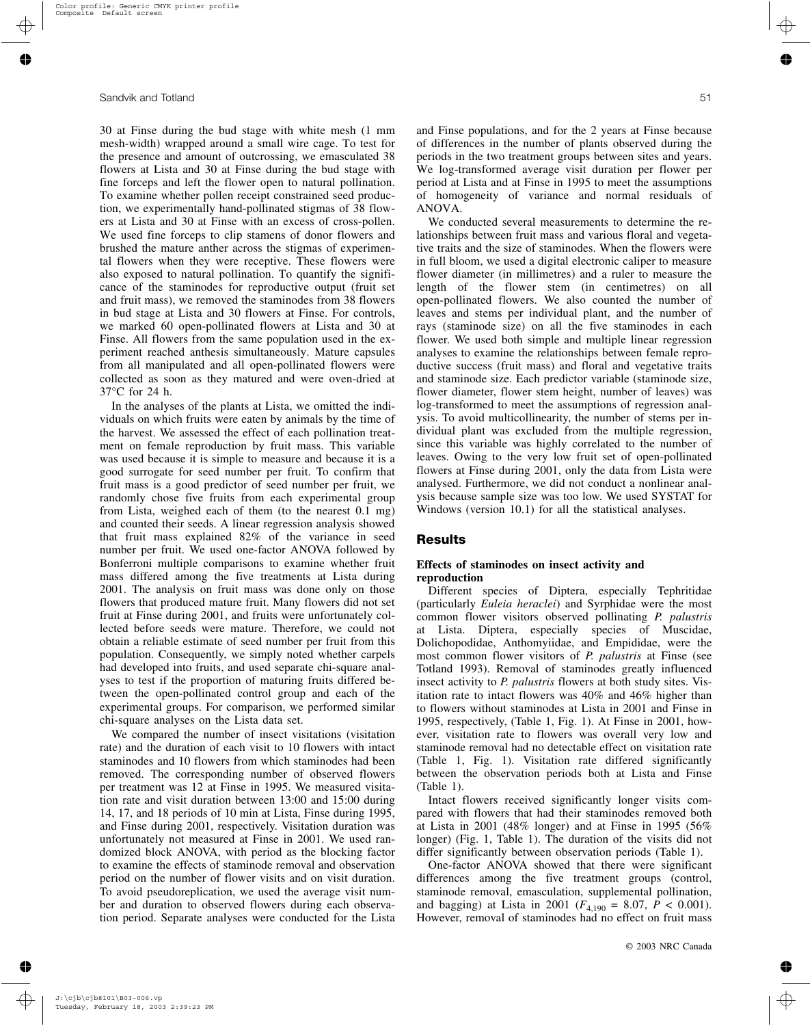30 at Finse during the bud stage with white mesh (1 mm mesh-width) wrapped around a small wire cage. To test for the presence and amount of outcrossing, we emasculated 38 flowers at Lista and 30 at Finse during the bud stage with fine forceps and left the flower open to natural pollination. To examine whether pollen receipt constrained seed production, we experimentally hand-pollinated stigmas of 38 flowers at Lista and 30 at Finse with an excess of cross-pollen. We used fine forceps to clip stamens of donor flowers and brushed the mature anther across the stigmas of experimental flowers when they were receptive. These flowers were also exposed to natural pollination. To quantify the significance of the staminodes for reproductive output (fruit set and fruit mass), we removed the staminodes from 38 flowers in bud stage at Lista and 30 flowers at Finse. For controls, we marked 60 open-pollinated flowers at Lista and 30 at Finse. All flowers from the same population used in the experiment reached anthesis simultaneously. Mature capsules from all manipulated and all open-pollinated flowers were collected as soon as they matured and were oven-dried at 37°C for 24 h.

In the analyses of the plants at Lista, we omitted the individuals on which fruits were eaten by animals by the time of the harvest. We assessed the effect of each pollination treatment on female reproduction by fruit mass. This variable was used because it is simple to measure and because it is a good surrogate for seed number per fruit. To confirm that fruit mass is a good predictor of seed number per fruit, we randomly chose five fruits from each experimental group from Lista, weighed each of them (to the nearest 0.1 mg) and counted their seeds. A linear regression analysis showed that fruit mass explained 82% of the variance in seed number per fruit. We used one-factor ANOVA followed by Bonferroni multiple comparisons to examine whether fruit mass differed among the five treatments at Lista during 2001. The analysis on fruit mass was done only on those flowers that produced mature fruit. Many flowers did not set fruit at Finse during 2001, and fruits were unfortunately collected before seeds were mature. Therefore, we could not obtain a reliable estimate of seed number per fruit from this population. Consequently, we simply noted whether carpels had developed into fruits, and used separate chi-square analyses to test if the proportion of maturing fruits differed between the open-pollinated control group and each of the experimental groups. For comparison, we performed similar chi-square analyses on the Lista data set.

We compared the number of insect visitations (visitation rate) and the duration of each visit to 10 flowers with intact staminodes and 10 flowers from which staminodes had been removed. The corresponding number of observed flowers per treatment was 12 at Finse in 1995. We measured visitation rate and visit duration between 13:00 and 15:00 during 14, 17, and 18 periods of 10 min at Lista, Finse during 1995, and Finse during 2001, respectively. Visitation duration was unfortunately not measured at Finse in 2001. We used randomized block ANOVA, with period as the blocking factor to examine the effects of staminode removal and observation period on the number of flower visits and on visit duration. To avoid pseudoreplication, we used the average visit number and duration to observed flowers during each observation period. Separate analyses were conducted for the Lista and Finse populations, and for the 2 years at Finse because of differences in the number of plants observed during the periods in the two treatment groups between sites and years. We log-transformed average visit duration per flower per period at Lista and at Finse in 1995 to meet the assumptions of homogeneity of variance and normal residuals of ANOVA.

We conducted several measurements to determine the relationships between fruit mass and various floral and vegetative traits and the size of staminodes. When the flowers were in full bloom, we used a digital electronic caliper to measure flower diameter (in millimetres) and a ruler to measure the length of the flower stem (in centimetres) on all open-pollinated flowers. We also counted the number of leaves and stems per individual plant, and the number of rays (staminode size) on all the five staminodes in each flower. We used both simple and multiple linear regression analyses to examine the relationships between female reproductive success (fruit mass) and floral and vegetative traits and staminode size. Each predictor variable (staminode size, flower diameter, flower stem height, number of leaves) was log-transformed to meet the assumptions of regression analysis. To avoid multicollinearity, the number of stems per individual plant was excluded from the multiple regression, since this variable was highly correlated to the number of leaves. Owing to the very low fruit set of open-pollinated flowers at Finse during 2001, only the data from Lista were analysed. Furthermore, we did not conduct a nonlinear analysis because sample size was too low. We used SYSTAT for Windows (version 10.1) for all the statistical analyses.

# **Results**

## **Effects of staminodes on insect activity and reproduction**

Different species of Diptera, especially Tephritidae (particularly *Euleia heraclei*) and Syrphidae were the most common flower visitors observed pollinating *P. palustris* at Lista. Diptera, especially species of Muscidae, Dolichopodidae, Anthomyiidae, and Empididae, were the most common flower visitors of *P. palustris* at Finse (see Totland 1993). Removal of staminodes greatly influenced insect activity to *P. palustris* flowers at both study sites. Visitation rate to intact flowers was 40% and 46% higher than to flowers without staminodes at Lista in 2001 and Finse in 1995, respectively, (Table 1, Fig. 1). At Finse in 2001, however, visitation rate to flowers was overall very low and staminode removal had no detectable effect on visitation rate (Table 1, Fig. 1). Visitation rate differed significantly between the observation periods both at Lista and Finse (Table 1).

Intact flowers received significantly longer visits compared with flowers that had their staminodes removed both at Lista in 2001 (48% longer) and at Finse in 1995 (56% longer) (Fig. 1, Table 1). The duration of the visits did not differ significantly between observation periods (Table 1).

One-factor ANOVA showed that there were significant differences among the five treatment groups (control, staminode removal, emasculation, supplemental pollination, and bagging) at Lista in 2001 ( $F_{4,190} = 8.07$ ,  $P < 0.001$ ). However, removal of staminodes had no effect on fruit mass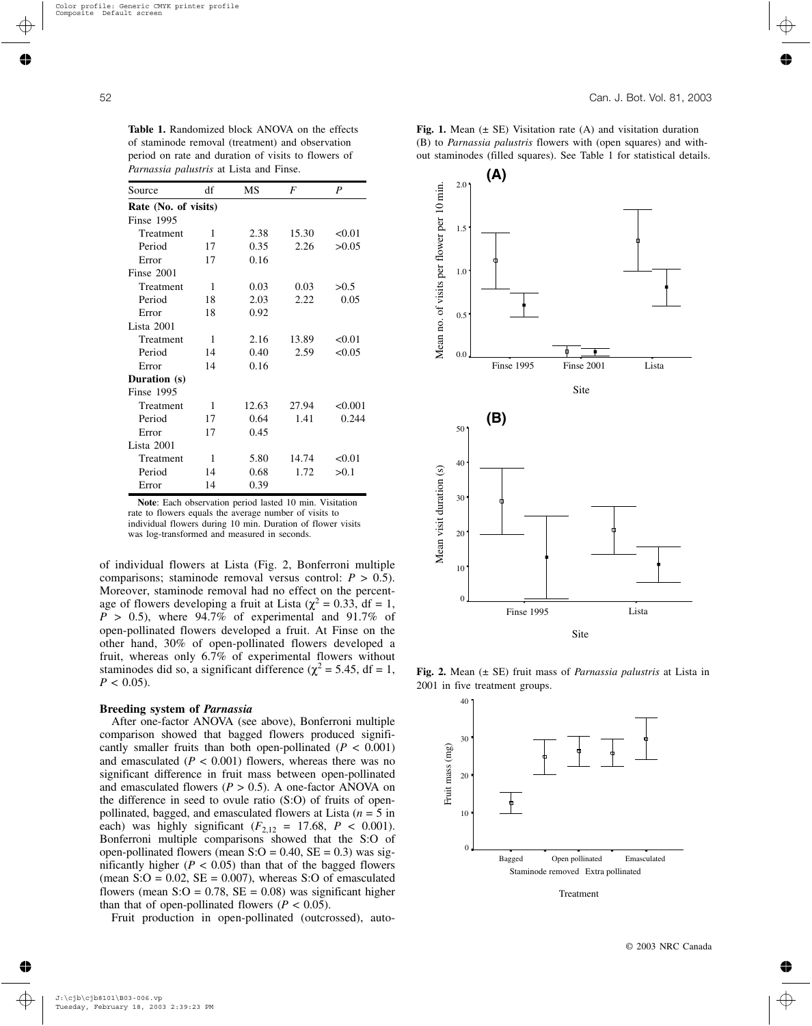|                                                | period on rate and duration of visits to flowers of |      |       |        |                                 | out staminodes (fille |      |  |
|------------------------------------------------|-----------------------------------------------------|------|-------|--------|---------------------------------|-----------------------|------|--|
| <i>Parnassia palustris</i> at Lista and Finse. |                                                     |      |       |        |                                 |                       | A)   |  |
| Source                                         | df                                                  | MS   | F     | P      |                                 | 2.01                  |      |  |
| Rate (No. of visits)                           |                                                     |      |       |        | of visits per flower per 10 min |                       |      |  |
| <b>Finse 1995</b>                              |                                                     |      |       |        |                                 |                       |      |  |
| Treatment                                      | 1                                                   | 2.38 | 15.30 | < 0.01 |                                 | 1.5                   |      |  |
| Period                                         | 17                                                  | 0.35 | 2.26  | >0.05  |                                 |                       |      |  |
| Error                                          | 17                                                  | 0.16 |       |        |                                 |                       |      |  |
| Finse 2001                                     |                                                     |      |       |        |                                 | $1.0^{\circ}$         |      |  |
| Treatment                                      | 1                                                   | 0.03 | 0.03  | >0.5   |                                 |                       |      |  |
| Period                                         | 18                                                  | 2.03 | 2.22  | 0.05   |                                 |                       |      |  |
| Error                                          | 18                                                  | 0.92 |       |        |                                 | $0.5^{\circ}$         |      |  |
| Lista 2001                                     |                                                     |      |       |        |                                 |                       |      |  |
| Treatment                                      | 1                                                   | 2.16 | 13.89 | < 0.01 |                                 |                       |      |  |
| Period                                         | 14                                                  | 0.40 | 2.59  | < 0.05 | Mean no.                        | 0.0                   |      |  |
| Error                                          | 14                                                  | 0.16 |       |        |                                 |                       | Fin: |  |

**Table 1.** Randomized block ANOVA on the effects of staminode removal (treatment) and observation

**Note**: Each observation period lasted 10 min. Visitation rate to flowers equals the average number of visits to individual flowers during 10 min. Duration of flower visits was log-transformed and measured in seconds.

Treatment 1 12.63 27.94 <0.001 Period 17 0.64 1.41 0.244

Treatment 1 5.80 14.74 < 0.01 Period 14 0.68 1.72 > 0.1

Error 17 0.45

Error 14 0.39

of individual flowers at Lista (Fig. 2, Bonferroni multiple comparisons; staminode removal versus control:  $P > 0.5$ ). Moreover, staminode removal had no effect on the percentage of flowers developing a fruit at Lista ( $\chi^2$  = 0.33, df = 1,  $P > 0.5$ ), where 94.7% of experimental and 91.7% of open-pollinated flowers developed a fruit. At Finse on the other hand, 30% of open-pollinated flowers developed a fruit, whereas only 6.7% of experimental flowers without staminodes did so, a significant difference ( $\chi^2$  = 5.45, df = 1,  $P < 0.05$ ).

## **Breeding system of** *Parnassia*

**Duration (s)** Finse 1995

Lista 2001

After one-factor ANOVA (see above), Bonferroni multiple comparison showed that bagged flowers produced significantly smaller fruits than both open-pollinated  $(P < 0.001)$ and emasculated  $(P < 0.001)$  flowers, whereas there was no significant difference in fruit mass between open-pollinated and emasculated flowers ( $P > 0.5$ ). A one-factor ANOVA on the difference in seed to ovule ratio (S:O) of fruits of openpollinated, bagged, and emasculated flowers at Lista (*n* = 5 in each) was highly significant ( $F_{2,12} = 17.68$ ,  $P < 0.001$ ). Bonferroni multiple comparisons showed that the S:O of open-pollinated flowers (mean  $S:O = 0.40$ ,  $SE = 0.3$ ) was significantly higher  $(P < 0.05)$  than that of the bagged flowers (mean  $S:O = 0.02$ ,  $SE = 0.007$ ), whereas  $S:O$  of emasculated flowers (mean  $S:O = 0.78$ ,  $SE = 0.08$ ) was significant higher than that of open-pollinated flowers ( $P < 0.05$ ).

Fruit production in open-pollinated (outcrossed), auto-

**Fig. 1.** Mean  $(\pm \text{ SE})$  Visitation rate  $(A)$  and visitation duration (B) to *Parnassia palustris* flowers with (open squares) and without staminodes (filled squares). See Table 1 for statistical details.



**Fig. 2.** Mean (± SE) fruit mass of *Parnassia palustris* at Lista in 2001 in five treatment groups.



Treatment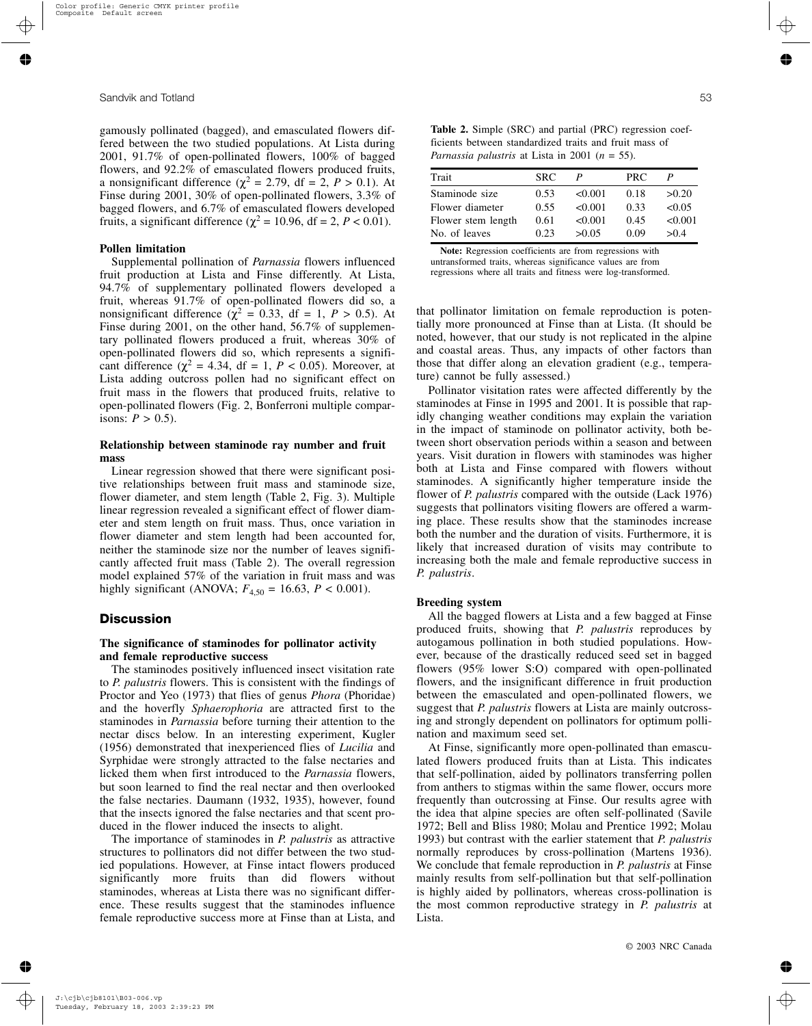gamously pollinated (bagged), and emasculated flowers differed between the two studied populations. At Lista during 2001, 91.7% of open-pollinated flowers, 100% of bagged flowers, and 92.2% of emasculated flowers produced fruits, a nonsignificant difference ( $\chi^2 = 2.79$ , df = 2, *P* > 0.1). At Finse during 2001, 30% of open-pollinated flowers, 3.3% of bagged flowers, and 6.7% of emasculated flowers developed fruits, a significant difference ( $\chi^2$  = 10.96, df = 2, *P* < 0.01).

#### **Pollen limitation**

Supplemental pollination of *Parnassia* flowers influenced fruit production at Lista and Finse differently. At Lista, 94.7% of supplementary pollinated flowers developed a fruit, whereas 91.7% of open-pollinated flowers did so, a nonsignificant difference ( $\chi^2$  = 0.33, df = 1, *P* > 0.5). At Finse during 2001, on the other hand, 56.7% of supplementary pollinated flowers produced a fruit, whereas 30% of open-pollinated flowers did so, which represents a significant difference ( $\chi^2$  = 4.34, df = 1, *P* < 0.05). Moreover, at Lista adding outcross pollen had no significant effect on fruit mass in the flowers that produced fruits, relative to open-pollinated flowers (Fig. 2, Bonferroni multiple comparisons:  $P > 0.5$ ).

## **Relationship between staminode ray number and fruit mass**

Linear regression showed that there were significant positive relationships between fruit mass and staminode size, flower diameter, and stem length (Table 2, Fig. 3). Multiple linear regression revealed a significant effect of flower diameter and stem length on fruit mass. Thus, once variation in flower diameter and stem length had been accounted for, neither the staminode size nor the number of leaves significantly affected fruit mass (Table 2). The overall regression model explained 57% of the variation in fruit mass and was highly significant (ANOVA;  $F_{4,50} = 16.63$ ,  $P < 0.001$ ).

# **Discussion**

## **The significance of staminodes for pollinator activity and female reproductive success**

The staminodes positively influenced insect visitation rate to *P. palustris* flowers. This is consistent with the findings of Proctor and Yeo (1973) that flies of genus *Phora* (Phoridae) and the hoverfly *Sphaerophoria* are attracted first to the staminodes in *Parnassia* before turning their attention to the nectar discs below. In an interesting experiment, Kugler (1956) demonstrated that inexperienced flies of *Lucilia* and Syrphidae were strongly attracted to the false nectaries and licked them when first introduced to the *Parnassia* flowers, but soon learned to find the real nectar and then overlooked the false nectaries. Daumann (1932, 1935), however, found that the insects ignored the false nectaries and that scent produced in the flower induced the insects to alight.

The importance of staminodes in *P. palustris* as attractive structures to pollinators did not differ between the two studied populations. However, at Finse intact flowers produced significantly more fruits than did flowers without staminodes, whereas at Lista there was no significant difference. These results suggest that the staminodes influence female reproductive success more at Finse than at Lista, and

**Table 2.** Simple (SRC) and partial (PRC) regression coefficients between standardized traits and fruit mass of *Parnassia palustris* at Lista in 2001 (*n* = 55).

| Trait              | <b>SRC</b> |         | PRC. |         |
|--------------------|------------|---------|------|---------|
| Staminode size     | 0.53       | < 0.001 | 0.18 | >0.20   |
| Flower diameter    | 0.55       | <0.001  | 0.33 | < 0.05  |
| Flower stem length | 0.61       | < 0.001 | 0.45 | < 0.001 |
| No. of leaves      | 0.23       | >0.05   | 0.09 | > 0.4   |

**Note:** Regression coefficients are from regressions with untransformed traits, whereas significance values are from regressions where all traits and fitness were log-transformed.

that pollinator limitation on female reproduction is potentially more pronounced at Finse than at Lista. (It should be noted, however, that our study is not replicated in the alpine and coastal areas. Thus, any impacts of other factors than those that differ along an elevation gradient (e.g., temperature) cannot be fully assessed.)

Pollinator visitation rates were affected differently by the staminodes at Finse in 1995 and 2001. It is possible that rapidly changing weather conditions may explain the variation in the impact of staminode on pollinator activity, both between short observation periods within a season and between years. Visit duration in flowers with staminodes was higher both at Lista and Finse compared with flowers without staminodes. A significantly higher temperature inside the flower of *P. palustris* compared with the outside (Lack 1976) suggests that pollinators visiting flowers are offered a warming place. These results show that the staminodes increase both the number and the duration of visits. Furthermore, it is likely that increased duration of visits may contribute to increasing both the male and female reproductive success in *P. palustris*.

## **Breeding system**

All the bagged flowers at Lista and a few bagged at Finse produced fruits, showing that *P. palustris* reproduces by autogamous pollination in both studied populations. However, because of the drastically reduced seed set in bagged flowers (95% lower S:O) compared with open-pollinated flowers, and the insignificant difference in fruit production between the emasculated and open-pollinated flowers, we suggest that *P. palustris* flowers at Lista are mainly outcrossing and strongly dependent on pollinators for optimum pollination and maximum seed set.

At Finse, significantly more open-pollinated than emasculated flowers produced fruits than at Lista. This indicates that self-pollination, aided by pollinators transferring pollen from anthers to stigmas within the same flower, occurs more frequently than outcrossing at Finse. Our results agree with the idea that alpine species are often self-pollinated (Savile 1972; Bell and Bliss 1980; Molau and Prentice 1992; Molau 1993) but contrast with the earlier statement that *P. palustris* normally reproduces by cross-pollination (Martens 1936). We conclude that female reproduction in *P. palustris* at Finse mainly results from self-pollination but that self-pollination is highly aided by pollinators, whereas cross-pollination is the most common reproductive strategy in *P. palustris* at Lista.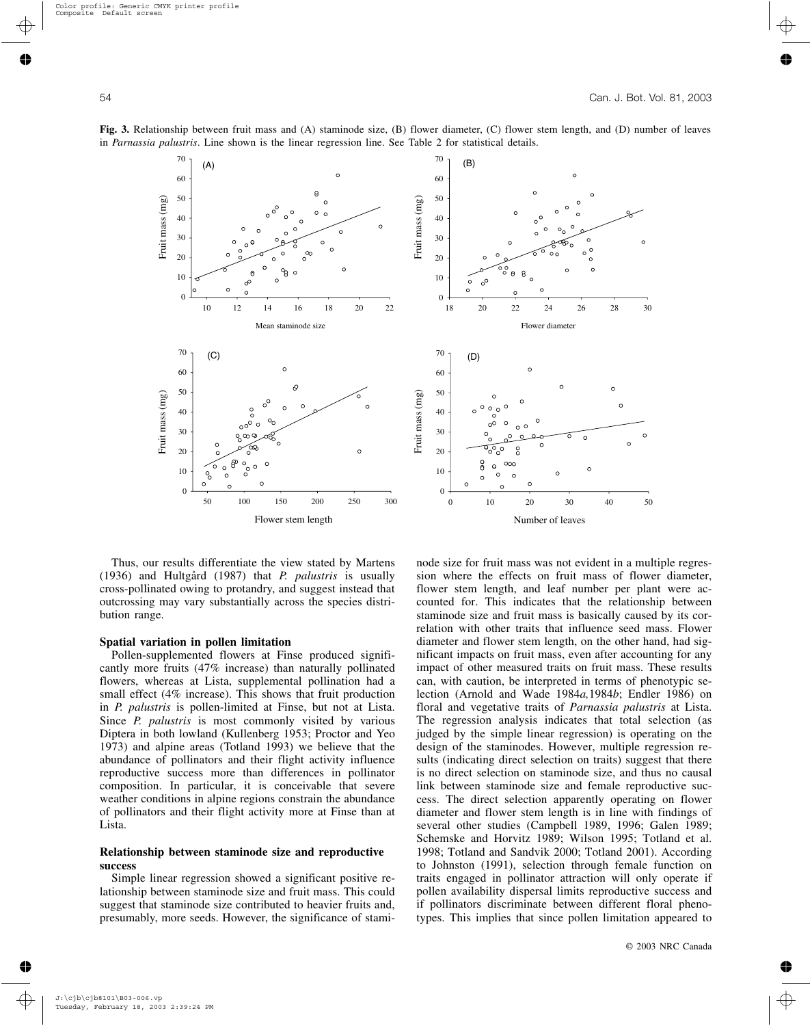

70 (B) 60 50 Fruit mass (mg) Fruit mass (mg) 40 30  $\circ$ o c 20  $\theta$ 8 10  $\circ$  $\sim$ Ċ  $\circ$  $\Omega$ 18 20 22 24 26 28 30 Flower diameter 70  $\circ$ 60  $\epsilon$  $\circ$ 50 Fruit mass (mg) Fruit mass (mg)  $\circ$ 40 30  $\ddot{c}$  $\tilde{\circ}$ 20  $\frac{0}{0}$  $\circ$  $000$ 10  $\circ$  $\circ$  $\circ$  $\circ$  $\Omega$ 0 0 10 20 30 40 50 Flower stem length Number of leaves

**Fig. 3.** Relationship between fruit mass and (A) staminode size, (B) flower diameter, (C) flower stem length, and (D) number of leaves in *Parnassia palustris*. Line shown is the linear regression line. See Table 2 for statistical details.

Thus, our results differentiate the view stated by Martens (1936) and Hultgård (1987) that *P. palustris* is usually cross-pollinated owing to protandry, and suggest instead that outcrossing may vary substantially across the species distribution range.

#### **Spatial variation in pollen limitation**

Pollen-supplemented flowers at Finse produced significantly more fruits (47% increase) than naturally pollinated flowers, whereas at Lista, supplemental pollination had a small effect (4% increase). This shows that fruit production in *P. palustris* is pollen-limited at Finse, but not at Lista. Since *P. palustris* is most commonly visited by various Diptera in both lowland (Kullenberg 1953; Proctor and Yeo 1973) and alpine areas (Totland 1993) we believe that the abundance of pollinators and their flight activity influence reproductive success more than differences in pollinator composition. In particular, it is conceivable that severe weather conditions in alpine regions constrain the abundance of pollinators and their flight activity more at Finse than at Lista.

## **Relationship between staminode size and reproductive success**

Simple linear regression showed a significant positive relationship between staminode size and fruit mass. This could suggest that staminode size contributed to heavier fruits and, presumably, more seeds. However, the significance of staminode size for fruit mass was not evident in a multiple regression where the effects on fruit mass of flower diameter, flower stem length, and leaf number per plant were accounted for. This indicates that the relationship between staminode size and fruit mass is basically caused by its correlation with other traits that influence seed mass. Flower diameter and flower stem length, on the other hand, had significant impacts on fruit mass, even after accounting for any impact of other measured traits on fruit mass. These results can, with caution, be interpreted in terms of phenotypic selection (Arnold and Wade 1984*a,*1984*b*; Endler 1986) on floral and vegetative traits of *Parnassia palustris* at Lista. The regression analysis indicates that total selection (as judged by the simple linear regression) is operating on the design of the staminodes. However, multiple regression results (indicating direct selection on traits) suggest that there is no direct selection on staminode size, and thus no causal link between staminode size and female reproductive success. The direct selection apparently operating on flower diameter and flower stem length is in line with findings of several other studies (Campbell 1989, 1996; Galen 1989; Schemske and Horvitz 1989; Wilson 1995; Totland et al. 1998; Totland and Sandvik 2000; Totland 2001). According to Johnston (1991), selection through female function on traits engaged in pollinator attraction will only operate if pollen availability dispersal limits reproductive success and if pollinators discriminate between different floral phenotypes. This implies that since pollen limitation appeared to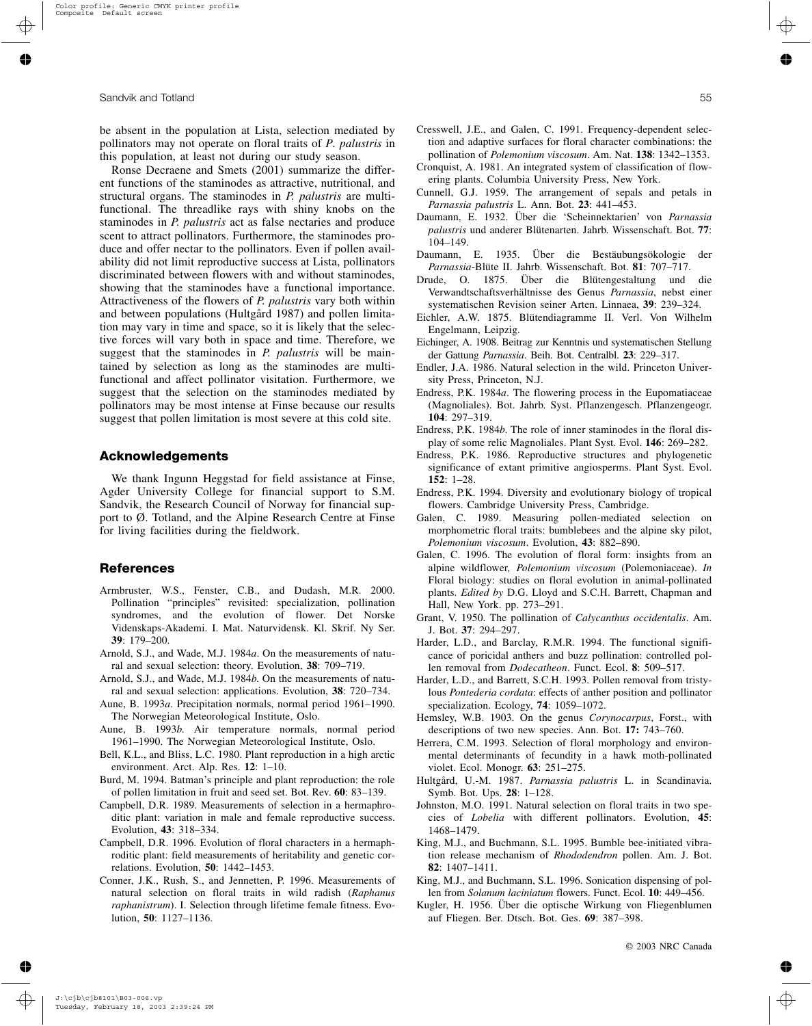be absent in the population at Lista, selection mediated by pollinators may not operate on floral traits of *P. palustris* in this population, at least not during our study season.

Ronse Decraene and Smets (2001) summarize the different functions of the staminodes as attractive, nutritional, and structural organs. The staminodes in *P. palustris* are multifunctional. The threadlike rays with shiny knobs on the staminodes in *P. palustris* act as false nectaries and produce scent to attract pollinators. Furthermore, the staminodes produce and offer nectar to the pollinators. Even if pollen availability did not limit reproductive success at Lista, pollinators discriminated between flowers with and without staminodes, showing that the staminodes have a functional importance. Attractiveness of the flowers of *P. palustris* vary both within and between populations (Hultgård 1987) and pollen limitation may vary in time and space, so it is likely that the selective forces will vary both in space and time. Therefore, we suggest that the staminodes in *P. palustris* will be maintained by selection as long as the staminodes are multifunctional and affect pollinator visitation. Furthermore, we suggest that the selection on the staminodes mediated by pollinators may be most intense at Finse because our results suggest that pollen limitation is most severe at this cold site.

## **Acknowledgements**

We thank Ingunn Heggstad for field assistance at Finse, Agder University College for financial support to S.M. Sandvik, the Research Council of Norway for financial support to Ø. Totland, and the Alpine Research Centre at Finse for living facilities during the fieldwork.

## **References**

- Armbruster, W.S., Fenster, C.B., and Dudash, M.R. 2000. Pollination "principles" revisited: specialization, pollination syndromes, and the evolution of flower. Det Norske Videnskaps-Akademi. I. Mat. Naturvidensk. Kl. Skrif. Ny Ser. **39**: 179–200.
- Arnold, S.J., and Wade, M.J. 1984*a*. On the measurements of natural and sexual selection: theory. Evolution, **38**: 709–719.
- Arnold, S.J., and Wade, M.J. 1984*b*. On the measurements of natural and sexual selection: applications. Evolution, **38**: 720–734.
- Aune, B. 1993*a*. Precipitation normals, normal period 1961–1990. The Norwegian Meteorological Institute, Oslo.
- Aune, B. 1993*b*. Air temperature normals, normal period 1961–1990. The Norwegian Meteorological Institute, Oslo.
- Bell, K.L., and Bliss, L.C. 1980. Plant reproduction in a high arctic environment. Arct. Alp. Res. **12**: 1–10.
- Burd, M. 1994. Batman's principle and plant reproduction: the role of pollen limitation in fruit and seed set. Bot. Rev. **60**: 83–139.
- Campbell, D.R. 1989. Measurements of selection in a hermaphroditic plant: variation in male and female reproductive success. Evolution, **43**: 318–334.
- Campbell, D.R. 1996. Evolution of floral characters in a hermaphroditic plant: field measurements of heritability and genetic correlations. Evolution, **50**: 1442–1453.
- Conner, J.K., Rush, S., and Jennetten, P. 1996. Measurements of natural selection on floral traits in wild radish (*Raphanus raphanistrum*). I. Selection through lifetime female fitness. Evolution, **50**: 1127–1136.
- Cresswell, J.E., and Galen, C. 1991. Frequency-dependent selection and adaptive surfaces for floral character combinations: the pollination of *Polemonium viscosum*. Am. Nat. **138**: 1342–1353.
- Cronquist, A. 1981. An integrated system of classification of flowering plants. Columbia University Press, New York.
- Cunnell, G.J. 1959. The arrangement of sepals and petals in *Parnassia palustris* L. Ann. Bot. **23**: 441–453.
- Daumann, E. 1932. Über die 'Scheinnektarien' von *Parnassia palustris* und anderer Blütenarten. Jahrb. Wissenschaft. Bot. **77**: 104–149.
- Daumann, E. 1935. Über die Bestäubungsökologie der *Parnassia*-Blüte II. Jahrb. Wissenschaft. Bot. **81**: 707–717.
- Drude, O. 1875. Über die Blütengestaltung und die Verwandtschaftsverhältnisse des Genus *Parnassia*, nebst einer systematischen Revision seiner Arten. Linnaea, **39**: 239–324.
- Eichler, A.W. 1875. Blütendiagramme II. Verl. Von Wilhelm Engelmann, Leipzig.
- Eichinger, A. 1908. Beitrag zur Kenntnis und systematischen Stellung der Gattung *Parnassia*. Beih. Bot. Centralbl. **23**: 229–317.
- Endler, J.A. 1986. Natural selection in the wild. Princeton University Press, Princeton, N.J.
- Endress, P.K. 1984*a*. The flowering process in the Eupomatiaceae (Magnoliales). Bot. Jahrb. Syst. Pflanzengesch. Pflanzengeogr. **104**: 297–319.
- Endress, P.K. 1984*b*. The role of inner staminodes in the floral display of some relic Magnoliales. Plant Syst. Evol. **146**: 269–282.
- Endress, P.K. 1986. Reproductive structures and phylogenetic significance of extant primitive angiosperms. Plant Syst. Evol. **152**: 1–28.
- Endress, P.K. 1994. Diversity and evolutionary biology of tropical flowers. Cambridge University Press, Cambridge.
- Galen, C. 1989. Measuring pollen-mediated selection on morphometric floral traits: bumblebees and the alpine sky pilot, *Polemonium viscosum*. Evolution, **43**: 882–890.
- Galen, C. 1996. The evolution of floral form: insights from an alpine wildflower*, Polemonium viscosum* (Polemoniaceae). *In* Floral biology: studies on floral evolution in animal-pollinated plants. *Edited by* D.G. Lloyd and S.C.H. Barrett, Chapman and Hall, New York. pp. 273–291.
- Grant, V. 1950. The pollination of *Calycanthus occidentalis*. Am. J. Bot. **37**: 294–297.
- Harder, L.D., and Barclay, R.M.R. 1994. The functional significance of poricidal anthers and buzz pollination: controlled pollen removal from *Dodecatheon*. Funct. Ecol. **8**: 509–517.
- Harder, L.D., and Barrett, S.C.H. 1993. Pollen removal from tristylous *Pontederia cordata*: effects of anther position and pollinator specialization. Ecology, **74**: 1059–1072.
- Hemsley, W.B. 1903. On the genus *Corynocarpus*, Forst., with descriptions of two new species. Ann. Bot. **17:** 743–760.
- Herrera, C.M. 1993. Selection of floral morphology and environmental determinants of fecundity in a hawk moth-pollinated violet. Ecol. Monogr. **63**: 251–275.
- Hultgård, U.-M. 1987. *Parnassia palustris* L. in Scandinavia. Symb. Bot. Ups. **28**: 1–128.
- Johnston, M.O. 1991. Natural selection on floral traits in two species of *Lobelia* with different pollinators. Evolution, **45**: 1468–1479.
- King, M.J., and Buchmann, S.L. 1995. Bumble bee-initiated vibration release mechanism of *Rhododendron* pollen. Am. J. Bot. **82**: 1407–1411.
- King, M.J., and Buchmann, S.L. 1996. Sonication dispensing of pollen from *Solanum laciniatum* flowers. Funct. Ecol. **10**: 449–456.
- Kugler, H. 1956. Über die optische Wirkung von Fliegenblumen auf Fliegen. Ber. Dtsch. Bot. Ges. **69**: 387–398.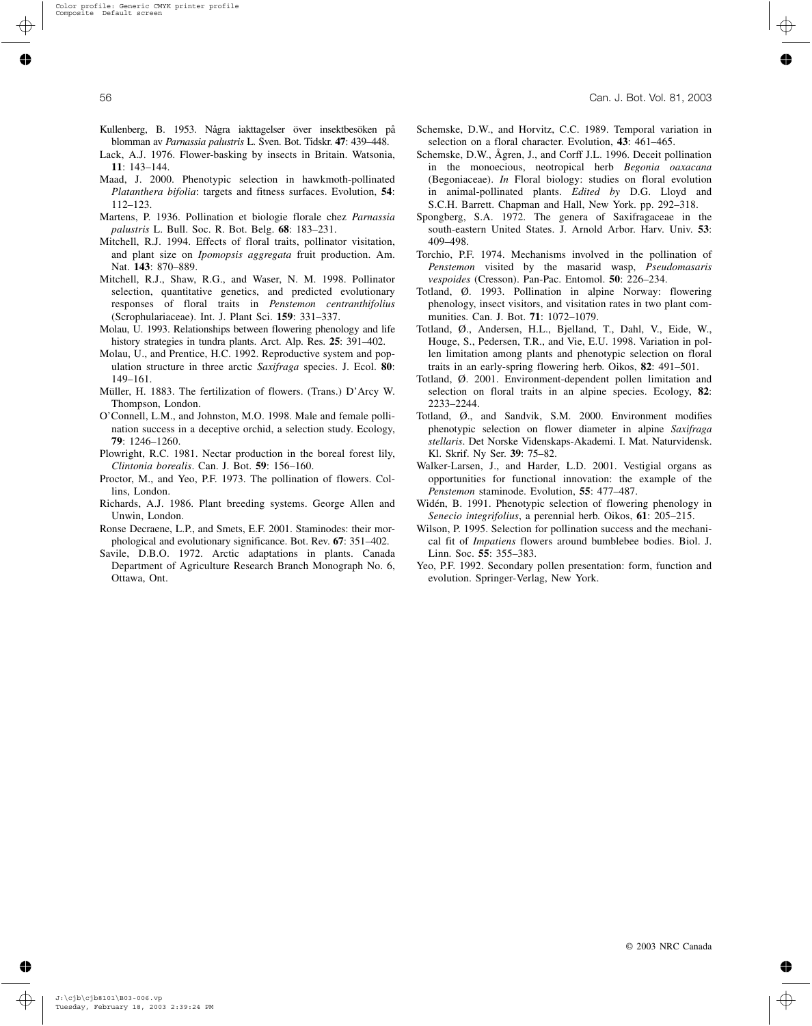- Kullenberg, B. 1953. Några iakttagelser över insektbesöken på blomman av *Parnassia palustris* L. Sven. Bot. Tidskr. **47**: 439–448.
- Lack, A.J. 1976. Flower-basking by insects in Britain. Watsonia, **11**: 143–144.
- Maad, J. 2000. Phenotypic selection in hawkmoth-pollinated *Platanthera bifolia*: targets and fitness surfaces. Evolution, **54**: 112–123.
- Martens, P. 1936. Pollination et biologie florale chez *Parnassia palustris* L. Bull. Soc. R. Bot. Belg. **68**: 183–231.
- Mitchell, R.J. 1994. Effects of floral traits, pollinator visitation, and plant size on *Ipomopsis aggregata* fruit production. Am. Nat. **143**: 870–889.
- Mitchell, R.J., Shaw, R.G., and Waser, N. M. 1998. Pollinator selection, quantitative genetics, and predicted evolutionary responses of floral traits in *Penstemon centranthifolius* (Scrophulariaceae). Int. J. Plant Sci. **159**: 331–337.
- Molau, U. 1993. Relationships between flowering phenology and life history strategies in tundra plants. Arct. Alp. Res. **25**: 391–402.
- Molau, U., and Prentice, H.C. 1992. Reproductive system and population structure in three arctic *Saxifraga* species. J. Ecol. **80**: 149–161.
- Müller, H. 1883. The fertilization of flowers. (Trans.) D'Arcy W. Thompson, London.
- O'Connell, L.M., and Johnston, M.O. 1998. Male and female pollination success in a deceptive orchid, a selection study. Ecology, **79**: 1246–1260.
- Plowright, R.C. 1981. Nectar production in the boreal forest lily, *Clintonia borealis*. Can. J. Bot. **59**: 156–160.
- Proctor, M., and Yeo, P.F. 1973. The pollination of flowers. Collins, London.
- Richards, A.J. 1986. Plant breeding systems. George Allen and Unwin, London.
- Ronse Decraene, L.P., and Smets, E.F. 2001. Staminodes: their morphological and evolutionary significance. Bot. Rev. **67**: 351–402.
- Savile, D.B.O. 1972. Arctic adaptations in plants. Canada Department of Agriculture Research Branch Monograph No. 6, Ottawa, Ont.
- Schemske, D.W., and Horvitz, C.C. 1989. Temporal variation in selection on a floral character. Evolution, **43**: 461–465.
- Schemske, D.W., Ågren, J., and Corff J.L. 1996. Deceit pollination in the monoecious, neotropical herb *Begonia oaxacana* (Begoniaceae). *In* Floral biology: studies on floral evolution in animal-pollinated plants. *Edited by* D.G. Lloyd and S.C.H. Barrett. Chapman and Hall, New York. pp. 292–318.
- Spongberg, S.A. 1972. The genera of Saxifragaceae in the south-eastern United States. J. Arnold Arbor. Harv. Univ. **53**: 409–498.
- Torchio, P.F. 1974. Mechanisms involved in the pollination of *Penstemon* visited by the masarid wasp, *Pseudomasaris vespoides* (Cresson). Pan-Pac. Entomol. **50**: 226–234.
- Totland, Ø. 1993. Pollination in alpine Norway: flowering phenology, insect visitors, and visitation rates in two plant communities. Can. J. Bot. **71**: 1072–1079.
- Totland, Ø., Andersen, H.L., Bjelland, T., Dahl, V., Eide, W., Houge, S., Pedersen, T.R., and Vie, E.U. 1998. Variation in pollen limitation among plants and phenotypic selection on floral traits in an early-spring flowering herb. Oikos, **82**: 491–501.
- Totland, Ø. 2001. Environment-dependent pollen limitation and selection on floral traits in an alpine species. Ecology, **82**: 2233–2244.
- Totland, Ø., and Sandvik, S.M. 2000. Environment modifies phenotypic selection on flower diameter in alpine *Saxifraga stellaris*. Det Norske Videnskaps-Akademi. I. Mat. Naturvidensk. Kl. Skrif. Ny Ser. **39**: 75–82.
- Walker-Larsen, J., and Harder, L.D. 2001. Vestigial organs as opportunities for functional innovation: the example of the *Penstemon* staminode. Evolution, **55**: 477–487.
- Widén, B. 1991. Phenotypic selection of flowering phenology in *Senecio integrifolius*, a perennial herb. Oikos, **61**: 205–215.
- Wilson, P. 1995. Selection for pollination success and the mechanical fit of *Impatiens* flowers around bumblebee bodies. Biol. J. Linn. Soc. **55**: 355–383.
- Yeo, P.F. 1992. Secondary pollen presentation: form, function and evolution. Springer-Verlag, New York.